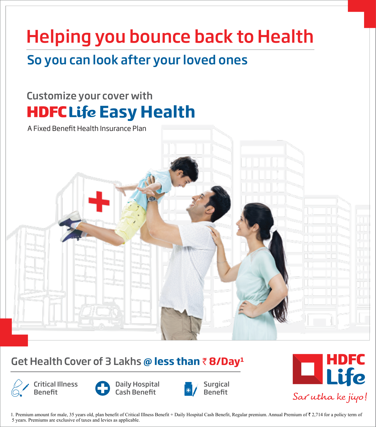# Helping you bounce back to Health

# So you can look after your loved ones

# **HDFCLife Easy Health** Customize your cover with



# Get Health Cover of 3 Lakhs @ less than ₹8/Day<sup>1</sup>



Benefi1

Critical Illness



Daily Hospital Cash Benet





1. Premium amount for male, 35 years old, plan benefit of Critical Illness Benefit + Daily Hospital Cash Benefit, Regular premium. Annual Premium of ₹ 2,714 for a policy term of 5 years. Premiums are exclusive of taxes and levies as applicable.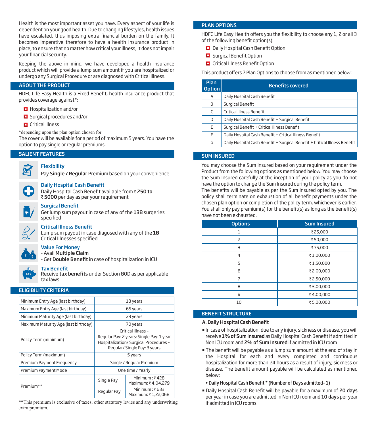Health is the most important asset you have. Every aspect of your life is dependent on your good health. Due to changing lifestyles, health issues have escalated, thus imposing extra financial burden on the family. It becomes imperative therefore to have a health insurance product in place, to ensure that no matter how critical your illness, it does not impair your financial security.

Keeping the above in mind, we have developed a health insurance product which will provide a lump sum amount if you are hospitalized or undergo any Surgical Procedure or are diagnosed with Critical Illness.

# ABOUT THE PRODUCT

HDFC Life Easy Health is a Fixed Benefit, health insurance product that provides coverage against\*:

- **Hospitalization and/or**
- Surgical procedures and/or
- **D** Critical illness

\*depending upon the plan option chosen for

The cover will be available for a period of maximum 5 years. You have the option to pay single or regular premiums.

# SALIENT FEATURES



# **Flexibility**

Pay Single / Regular Premium based on your convenience



#### **Daily Hospital Cash Benefit**

Daily Hospital Cash Benefit available from ₹ 250 to ₹ 5000 per day as per your requirement



#### **Surgical Benefit**

Get lump sum payout in case of any of the 138 surgeries specified

# **Critical Illness Benefit**

Lump sum payout in case diagosed with any of the 18 Critical Illnesses specified



#### Value For Money - Avail Multiple Claim

- Get **Double Benefit** in case of hospitalization in ICU



# **Tax Benefit**

Receive tax benefits under Section 80D as per applicable tax laws

# ELIGIBILITY CRITERIA

| Minimum Entry Age (last birthday)                                                                                                                                 |                          | 18 years                                                 |
|-------------------------------------------------------------------------------------------------------------------------------------------------------------------|--------------------------|----------------------------------------------------------|
| Maximum Entry Age (last birthday)                                                                                                                                 |                          | 65 years                                                 |
| Minimum Maturity Age (last birthday)                                                                                                                              |                          | 23 years                                                 |
| Maximum Maturity Age (last birthday)                                                                                                                              |                          | 70 years                                                 |
| Critical Illness -<br>Regular Pay: 2 years; Single Pay: 1 year<br>Policy Term (minimum)<br>Hospitalization/ Surgical Procedures -<br>Regular/ Single Pay: 3 years |                          |                                                          |
| Policy Term (maximum)                                                                                                                                             | 5 years                  |                                                          |
| Premium Payment Frequency                                                                                                                                         | Single / Regular Premium |                                                          |
| Premium Payment Mode                                                                                                                                              | One time / Yearly        |                                                          |
| Premium**                                                                                                                                                         | Single Pay               | Minimum:₹428<br>Maximum: ₹4,04,279                       |
|                                                                                                                                                                   | Regular Pay              | Minimum: $\overline{\epsilon}$ 633<br>Maximum: ₹1,22,068 |

\*\*This premium is exclusive of taxes, other statutory levies and any underwriting extra premium.

#### PLAN OPTIONS

HDFC Life Easy Health offers you the flexibility to choose any 1, 2 or all 3 of the following benefit option(s):

- **D** Daily Hospital Cash Benefit Option
- $\Box$  Surgical Benefit Option
- **Q** Critical Illness Benefit Option

This product offers 7 Plan Options to choose from as mentioned below:

| Plan<br><b>Option</b> | <b>Benefits covered</b>                                                   |
|-----------------------|---------------------------------------------------------------------------|
| A                     | Daily Hospital Cash Benefit                                               |
| B                     | Surgical Benefit                                                          |
| C                     | Critical Illness Benefit                                                  |
| D                     | Daily Hospital Cash Benefit + Surgical Benefit                            |
| E                     | Surgical Benefit + Critical Illness Benefit                               |
| F                     | Daily Hospital Cash Benefit + Critical Illness Benefit                    |
| G                     | Daily Hospital Cash Benefit + Surgical Benefit + Critical Illness Benefit |

# SUM INSURED

You may choose the Sum Insured based on your requirement under the Product from the following options as mentioned below. You may choose the Sum Insured carefully at the inception of your policy as you do not have the option to change the Sum Insured during the policy term.

The benefits will be payable as per the Sum Insured opted by you. The policy shall terminate on exhaustion of all benefit payments under the chosen plan option or completion of the policy term, whichever is earlier. You shall only pay premium(s) for the benefit(s) as long as the benefit(s) have not been exhausted.

| <b>Options</b> | <b>Sum Insured</b> |
|----------------|--------------------|
| 1              | ₹25,000            |
| 2              | ₹50,000            |
| 3              | ₹75,000            |
| 4              | ₹1,00,000          |
| 5              | ₹1,50,000          |
| 6              | ₹2,00,000          |
| 7              | ₹2,50,000          |
| 8              | ₹3,00,000          |
| 9              | ₹4,00,000          |
| 10             | ₹5,00,000          |

# BENEFIT STRUCTURE

### A. Daily Hospital Cash Benefit

- In case of hospitalization, due to any injury, sickness or disease, you will receive 1% of Sum Insured as Daily Hospital Cash Benefit if admitted in Non ICU room and 2% of Sum Insured if admitted in ICU room
- The benefit will be payable as a lump sum amount at the end of stay in the Hospital for each and every completed and continuous hospitalization for more than 24 hours as a result of injury, sickness or disease. The benefit amount payable will be calculated as mentioned below:

#### • Daily Hospital Cash Benefit \* (Number of Days admitted-1)

Daily Hospital Cash Benefit will be payable for a maximum of 20 days per year in case you are admitted in Non ICU room and 10 days per year if admitted in ICU rooms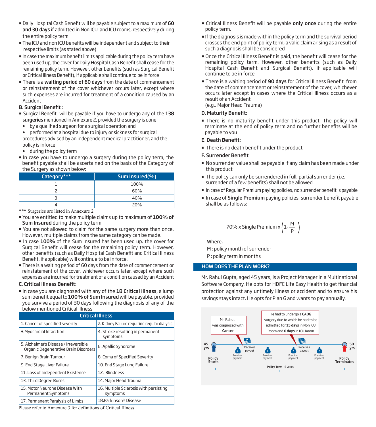- Daily Hospital Cash Benefit will be payable subject to a maximum of 60 and 30 days if admitted in Non ICU and ICU rooms, respectively during the entire policy term
- $\blacksquare$  The ICU and non ICU benefits will be independent and subject to their respective limits (as stated above)
- $\blacksquare$  In case the maximum benefit limits applicable during the policy term have been used up, the cover for Daily Hospital Cash Benefit shall cease for the remaining policy term. However, other benefits (such as Surgical Benefit or Critical Illness Benefit), if applicable shall continue to be in force
- There is a waiting period of 60 days from the date of commencement or reinstatement of the cover whichever occurs later, except where such expenses are incurred for treatment of a condition caused by an Accident

# **B. Surgical Benefit:**

- Surgical Benefit will be payable if you have to undergo any of the 138 surgeries mentioned in Annexure 2, provided the surgery is done:
- $\bullet$  by a qualified surgeon for a surgical operation and
- performed at a hospital due to injury or sickness for surgical procedures advised by an independent medical practitioner, and the policy is inforce
- during the policy term
- In case you have to undergo a surgery during the policy term, the benefit payable shall be ascertained on the basis of the Category of the Surgery as shown below:

| Category*** | Sum Insured(%) |
|-------------|----------------|
|             | 100%           |
|             | 60%            |
|             | 40%            |
|             | 20%            |

\*\*\* Surgeries are listed in Annexure 2

- You are entitled to make multiple claims up to maximum of 100% of Sum Insured during the policy term
- You are not allowed to claim for the same surgery more than once. However, multiple claims from the same category can be made.
- In case 100% of the Sum Insured has been used up, the cover for Surgical Benefit will cease for the remaining policy term. However, other benefits (such as Daily Hospital Cash Benefit and Critical Illness Benefit, if applicable) will continue to be in force.
- There is a waiting period of 60 days from the date of commencement or reinstatement of the cover, whichever occurs later, except where such expenses are incurred for treatment of a condition caused by an Accident

# C. Critical Illness Benefit:

In case you are diagnosed with any of the 18 Critical Illness, a lump sum benefit equal to 100% of Sum Insured will be payable, provided you survive a period of 30 days following the diagnosis of any of the below mentioned Critical Illness

| <b>Critical Illness</b>                                                       |                                                    |  |
|-------------------------------------------------------------------------------|----------------------------------------------------|--|
| 1. Cancer of specified severity                                               | 2. Kidney Failure requiring regular dialysis       |  |
| 3. Myocardial Infarction                                                      | 4. Stroke resulting in permanent<br>symptoms       |  |
| 5. Alzheimer's Disease / Irreversible<br>Organic Degenerative Brain Disorders | 6. Apallic Syndrome                                |  |
| 7. Benign Brain Tumour                                                        | 8. Coma of Specified Severity                      |  |
| 9. End Stage Liver Failure                                                    | 10. End Stage Lung Failure                         |  |
| 11. Loss of Independent Existence                                             | 12. Blindness                                      |  |
| 13. Third Degree Burns                                                        | 14. Major Head Trauma                              |  |
| 15. Motor Neurone Disease With<br>Permanent Symptoms                          | 16. Multiple Sclerosis with persisting<br>symptoms |  |
| 17. Permanent Paralysis of Limbs                                              | 18. Parkinson's Disease                            |  |

Please refer to Annexure 3 for definitions of Critical Illness

- **Example 2** Critical Illness Benefit will be payable only once during the entire policy term.
- If the diagnosis is made within the policy term and the survival period crosses the end point of policy term, a valid claim arising as a result of such a diagnosis shall be considered
- Once the Critical Illness Benefit is paid, the benefit will cease for the remaining policy term. However, other benefits (such as Daily Hospital Cash Benefit and Surgical Benefit), if applicable will continue to be in force
- There is a waiting period of 90 days for Critical Illness Benefit from the date of commencement or reinstatement of the cover, whichever occurs later except in cases where the Critical Illness occurs as a result of an Accident

(e.g., Major Head Trauma)

# D. Maturity Benefit:

. There is no maturity benefit under this product. The policy will terminate at the end of policy term and no further benefits will be payable to you

# E. Death Benefit:

**There is no death benefit under the product** 

# F. Surrender Benefit

- No surrender value shall be payable if any claim has been made under this product
- **The policy can only be surrendered in full, partial surrender (i.e.** surrender of a few benefits) shall not be allowed
- In case of Regular Premium paying policies, no surrender benefit is payable
- In case of Single Premium paying policies, surrender benefit payable shall be as follows:

70% x Single Premium x 
$$
\left(1-\frac{M}{P}\right)
$$

Where,

M : policy month of surrender P : policy term in months

# HOW DOES THE PLAN WORK?

Mr. Rahul Gupta, aged 45 years, is a Project Manager in a Multinational Software Company. He opts for HDFC Life Easy Health to get financial protection against any untimely illness or accident and to ensure his savings stays intact. He opts for Plan G and wants to pay annually.

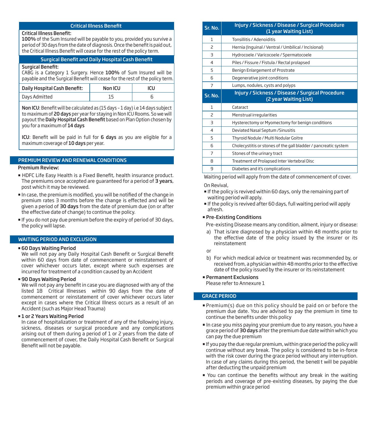# **Critical Illness Benefit**

#### Critical Illness Benet:

100% of the Sum Insured will be payable to you, provided you survive a period of 30 days from the date of diagnosis. Once the benefit is paid out, the Critical Illness Benefit will cease for the rest of the policy term.

# Surgical Benefit and Daily Hospital Cash Benefit

# Surgical Benefit:

CABG is a Category 1 Surgery. Hence 100% of Sum Insured will be payable and the Surgical Benefit will cease for the rest of the policy term.

| Daily Hospital Cash Benefit: | Non ICU | icu |
|------------------------------|---------|-----|
| Days Admitted                |         |     |

Non ICU: Benefit will be calculated as (15 days - 1 day) i.e 14 days subject to maximum of 20 days per year for staying in Non ICU Rooms. So we will payout the Daily Hospital Cash Benefit based on Plan Option chosen by you for a maximum of 14 days

ICU: Benefit will be paid in full for 6 days as you are eligible for a maximum coverage of 10 days per year.

# PREMIUM REVIEW AND RENEWAL CONDITIONS

#### Premium Review:

- HDFC Life Easy Health is a Fixed Benefit, health insurance product. The premiums once accepted are quaranteed for a period of 3 years, post which it may be reviewed.
- $\blacksquare$  In case, the premium is modified, you will be notified of the change in premium rates 3 months before the change is effected and will be given a period of 30 days from the date of premium due (on or after the effective date of change) to continue the policy.
- If you do not pay due premium before the expiry of period of 30 days, the policy will lapse.

## WAITING PERIOD AND EXCLUSION

# 60 Days Waiting Period

We will not pay any Daily Hospital Cash Benefit or Surgical Benefit within 60 days from date of commencement or reinstatement of cover whichever occurs later, except where such expenses are incurred for treatment of a condition caused by an Accident

#### 90 Days Waiting Period

We will not pay any benefit in case you are diagnosed with any of the listed 18 Critical Illnesses within 90 days from the date of commencement or reinstatement of cover whichever occurs later except in cases where the Critical Illness occurs as a result of an Accident (such as Major Head Trauma)

# $\blacksquare$  **1 or 2 Years Waiting Period**

In case of hospitalization or treatment of any of the following injury, sickness, diseases or surgical procedure and any complications arising out of them during a period of 1 or 2 years from the date of commencement of cover, the Daily Hospital Cash Benefit or Surgical Benefit will not be payable.

| Sr. No.                  | Injury / Sickness / Disease / Surgical Procedure<br>(1 year Waiting List) |
|--------------------------|---------------------------------------------------------------------------|
| 1                        | Tonsillitis / Adenoiditis                                                 |
| 2                        | Hernia (Inquinal / Ventral / Umbilical / Incisional)                      |
| $\exists$                | Hydrocoele / Varicocoele / Spermatocoele                                  |
| 4                        | Piles / Fissure / Fistula / Rectal prolapsed                              |
| 5                        | Benign Enlargement of Prostrate                                           |
| 6                        | Degenerative joint conditions                                             |
| 7                        | Lumps, nodules, cysts and polyps                                          |
| Sr. No.                  | Injury / Sickness / Disease / Surgical Procedure<br>(2 year Waiting List) |
| $\mathbf{1}$             | Cataract                                                                  |
| $\overline{\phantom{0}}$ | Menstrual irregularities                                                  |
| $\overline{\mathcal{L}}$ | Hysterectomy or Myomectomy for benign conditions                          |
| 4                        | Deviated Nasal Septum / Sinusitis                                         |
| 5                        | Thyroid Nodule / Multi Nodular Goitre                                     |
| 6                        | Cholecystitis or stones of the gall bladder / pancreatic system           |
| 7                        | Stones of the urinary tract                                               |
| 8                        | Treatment of Prolapsed Inter Vertebral Disc                               |
| 9                        | Diabetes and it's complications                                           |

Waiting period will apply from the date of commencement of cover.

# On Revival,

- If the policy is revived within 60 days, only the remaining part of waiting period will apply.
- If the policy is revived after 60 days, full waiting period will apply afresh.

#### Pre-Existing Conditions

Pre-existing Disease means any condition, ailment, injury or disease:

- a) That is/are diagnosed by a physician within 48 months prior to the effective date of the policy issued by the insurer or its reinstatement
- or
- b) For which medical advice or treatment was recommended by, or received from, a physician within 48 months prior to the effective date of the policy issued by the insurer or its reinstatement

# Permanent Exclusions

Please refer to Annexure 1

# GRACE PERIOD

- Premium(s) due on this policy should be paid on or before the premium due date. You are advised to pay the premium in time to continue the benefits under this policy
- In case you miss paying your premium due to any reason, you have a grace period of 30 days after the premium due date within which you can pay the due premium
- If you pay the due regular premium, within grace period the policy will continue without any break. The policy is considered to be in-force with the risk cover during the grace period without any interruption. In case of any claims during this period, the bene t will be payable after deducting the unpaid premium
- " You can continue the benefits without any break in the waiting periods and coverage of pre-existing diseases, by paying the due premium within grace period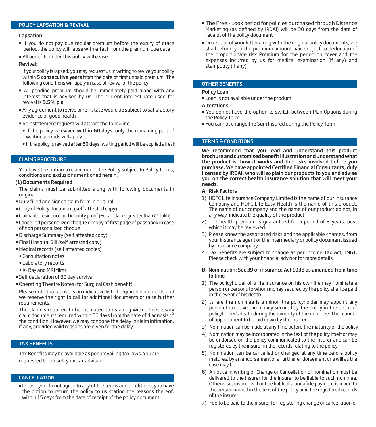# POLICY LAPSATION & REVIVAL

# Lapsation:

- If you do not pay due regular premium before the expiry of grace period, the policy will lapse with effect from the premium due date
- All benefits under this policy will cease

#### Revival:

If your policy is lapsed, you may request us in writing to revive your policy within 5 consecutive years from the date of first unpaid premium. The following conditions will apply in case of revival of the policy:

- All pending premium should be immediately paid along with any interest that is advised by us. The current interest rate used for revival is 9.5% p.a
- Any agreement to revive or reinstate would be subject to satisfactory evidence of good health
- Reinstatement request will attract the following :
- If the policy is revived within 60 days, only the remaining part of waiting periods will apply
- If the policy is revived after 60 days, waiting period will be applied afresh

# CLAIMS PROCEDURE

You have the option to claim under the Policy subject to Policy terms, conditions and exclusions mentioned herein.

#### (1) Documents Required

The claims must be submitted along with following documents in original:

- **Duly filled and signed claim form in original**
- Copy of Policy document (self attested copy)
- Elaimant's residence and identity proof (For all claims greater than  $\bar{\tau}$  1 lakh)
- $\blacksquare$  Cancelled personalized cheque or copy of first page of passbook in case of non personalized cheque
- Discharge Summary (self attested copy)
- Final Hospital Bill (self attested copy)
- Medical records (self attested copies)
- Consultation notes
- Laboratory reports
- X- Ray and MRI films
- Self declaration of 30 day survival
- **Operating Theatre Notes (for Surgical Cash benefit)**

Please note that above is an indicative list of required documents and we reserve the right to call for additional documents or raise further requirements.

The claim is required to be intimated to us along with all necessary claim documents required within 60 days from the date of diagnosis of the condition. However, we may condone the delay in claim intimation, if any, provided valid reasons are given for the delay.

# TAX BENEFITS

Tax Benefits may be available as per prevailing tax laws. You are requested to consult your tax advisor.

### CANCELLATION

 In case you do not agree to any of the terms and conditions, you have the option to return the policy to us stating the reasons thereof, within 15 days from the date of receipt of the policy document.

- The Free Look period for policies purchased through Distance Marketing (as defined by IRDAI) will be 30 days from the date of receipt of the policy document
- On receipt of your letter along with the original policy documents, we shall refund you the premium amount paid subject to deduction of the proportionate risk Premium for the period on cover and the expenses incurred by us for medical examination (if any) and stampduty (if any).

#### OTHER BENEFITS

#### Policy Loan

- **Loan is not available under the product**
- **Alterations**
- You do not have the option to switch between Plan Options during the Policy Term
- You cannot change the Sum Insured during the Policy Term

# TERMS & CONDITIONS

We recommend that you read and understand this product brochure and customised benefit illustration and understand what the product is, how it works and the risks involved before you purchase. We have appointed Certified Financial Consultants, duly licensed by IRDAI, who will explain our products to you and advise you on the correct health insurance solution that will meet your needs.

#### A. Risk Factors

- 1) HDFC Life Insurance Company Limited is the name of our Insurance Company and HDFC Life Easy Health is the name of this product. The name of our company and the name of our product do not, in any way, indicate the quality of the product
- 2) The health premium is guaranteed for a period of 3 years, post which it may be reviewed.
- 3) Please know the associated risks and the applicable charges, from your Insurance agent or the Intermediary or policy document issued by insurance company
- 4) Tax Benefits are subject to change as per Income Tax Act, 1961. Please check with your financial advisor for more details
- B. Nomination: Sec 39 of insurance Act 1938 as amended from time to time
- 1) The policyholder of a life insurance on his own life may nominate a person or persons to whom money secured by the policy shall be paid in the event of his death
- 2) Where the nominee is a minor, the policyholder may appoint any person to receive the money secured by the policy in the event of policyholder's death during the minority of the nominee. The manner of appointment to be laid down by the insurer
- 3) Nomination can be made at any time before the maturity of the policy
- 4) Nomination may be incorporated in the text of the policy itself or may be endorsed on the policy communicated to the insurer and can be registered by the insurer in the records relating to the policy
- 5) Nomination can be cancelled or changed at any time before policy matures, by an endorsement or a further endorsement or a will as the case may be
- 6) A notice in writing of Change or Cancellation of nomination must be delivered to the insurer for the insurer to be liable to such nominee. Otherwise, insurer will not be liable if a bonafide payment is made to the person named in the text of the policy or in the registered records of the insurer
- 7) Fee to be paid to the insurer for registering change or cancellation of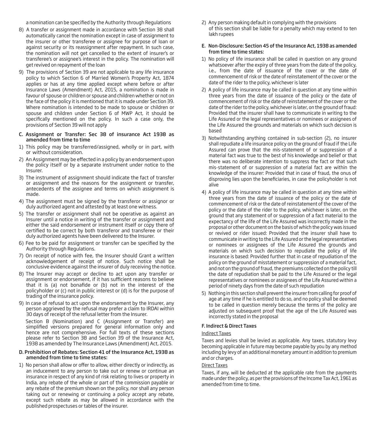a nomination can be specified by the Authority through Regulations

- 8) A transfer or assignment made in accordance with Section 38 shall automatically cancel the nomination except in case of assignment to the insurer or other transferee or assignee for purpose of loan or against security or its reassignment after repayment. In such case, the nomination will not get cancelled to the extent of insurer's or transferee's or assignee's interest in the policy. The nomination will get revived on repayment of the loan
- 9) The provisions of Section 39 are not applicable to any life insurance policy to which Section 6 of Married Women's Property Act, 1874 applies or has at any time applied except where before or after Insurance Laws (Amendment) Act, 2015, a nomination is made in favour of spouse or children or spouse and children whether or not on the face of the policy it is mentioned that it is made under Section 39. Where nomination is intended to be made to spouse or children or spouse and children under Section 6 of MWP Act, it should be specifically mentioned on the policy. In such a case only, the provisions of Section 39 will not apply
- C. Assignment or Transfer: Sec 38 of insurance Act 1938 as amended from time to time
- 1) This policy may be transferred/assigned, wholly or in part, with or without consideration.
- 2) An Assignment may be effected in a policy by an endorsement upon the policy itself or by a separate instrument under notice to the Insurer.
- 3) The instrument of assignment should indicate the fact of transfer or assignment and the reasons for the assignment or transfer, antecedents of the assignee and terms on which assignment is made.
- 4) The assignment must be signed by the transferor or assignor or duly authorized agent and attested by at least one witness.
- 5) The transfer or assignment shall not be operative as against an Insurer until a notice in writing of the transfer or assignment and either the said endorsement or instrument itself or copy there of certified to be correct by both transferor and transferee or their duly authorized agents have been delivered to the Insurer.
- 6) Fee to be paid for assignment or transfer can be specified by the Authority through Regulations.
- 7) On receipt of notice with fee, the Insurer should Grant a written acknowledgement of receipt of notice. Such notice shall be conclusive evidence against the insurer of duly receiving the notice.
- 8) The Insurer may accept or decline to act upon any transfer or assignment or endorsement, if it has sufficient reasons to believe that it is (a) not bonafide or (b) not in the interest of the policyholder or (c) not in public interest or (d) is for the purpose of trading of the insurance policy.
- 9) In case of refusal to act upon the endorsement by the Insurer, any person aggrieved by the refusal may prefer a claim to IRDAI within 30 days of receipt of the refusal letter from the Insurer.

 Section B (Nomination) and C (Assignment or Transfer) are simplified versions prepared for general information only and hence are not comprehensive. For full texts of these sections please refer to Section 38 and Section 39 of the Insurance Act, 1938 as amended by The Insurance Laws (Amendment) Act, 2015.

#### D. Prohibition of Rebates: Section 41 of the Insurance Act, 1938 as amended from time to time states:

1) No person shall allow or offer to allow, either directly or indirectly, as an inducement to any person to take out or renew or continue an insurance in respect of any kind of risk relating to lives or property in India, any rebate of the whole or part of the commission payable or any rebate of the premium shown on the policy, nor shall any person taking out or renewing or continuing a policy accept any rebate, except such rebate as may be allowed in accordance with the published prospectuses or tables of the insurer.

2) Any person making default in complying with the provisions of this section shall be liable for a penalty which may extend to ten lakh rupees

#### E. Non-Disclosure: Section 45 of the Insurance Act, 1938 as amended from time to time states:

- 1) No policy of life insurance shall be called in question on any ground whatsoever after the expiry of three years from the date of the policy, i.e., from the date of issuance of the cover or the date of commencement of risk or the date of reinstatement of the cover or the date of the rider to the policy, whichever is later
- 2) A policy of life insurance may be called in question at any time within three years from the date of issuance of the policy or the date of commencement of risk or the date of reinstatement of the cover or the date of the rider to the policy, whichever is later, on the ground of fraud: Provided that the insurer shall have to communicate in writing to the Life Assured or the legal representatives or nominees or assignees of the Life Assured the grounds and materials on which such decision is based
- 3) Notwithstanding anything contained in sub-section (2), no insurer shall repudiate a life insurance policy on the ground of fraud if the Life Assured can prove that the mis-statement of or suppression of a material fact was true to the best of his knowledge and belief or that there was no deliberate intention to suppress the fact or that such mis-statement of or suppression of a material fact are within the knowledge of the insurer: Provided that in case of fraud, the onus of disproving lies upon the beneficiaries, in case the policyholder is not alive
- 4) A policy of life insurance may be called in question at any time within three years from the date of issuance of the policy or the date of commencement of risk or the date of reinstatement of the cover of the policy or the date of the rider to the policy, whichever is later, on the ground that any statement of or suppression of a fact material to the expectancy of the life of the Life Assured was incorrectly made in the proposal or other document on the basis of which the policy was issued or revived or rider issued: Provided that the insurer shall have to communicate in writing to the Life Assured or the legal representatives or nominees or assignees of the Life Assured the grounds and materials on which such decision to repudiate the policy of life insurance is based: Provided further that in case of repudiation of the policy on the ground of misstatement or suppression of a material fact, and not on the ground of fraud, the premiums collected on the policy till the date of repudiation shall be paid to the Life Assured or the legal representatives or nominees or assignees of the Life Assured within a period of ninety days from the date of such repudiation
- 5) Nothing in this section shall prevent the insurer from calling for proof of age at any time if he is entitled to do so, and no policy shall be deemed to be called in question merely because the terms of the policy are adjusted on subsequent proof that the age of the Life Assured was incorrectly stated in the proposal

# F. Indirect & Direct Taxes

#### Indirect Taxes

Taxes and levies shall be levied as applicable. Any taxes, statutory levy becoming applicable in future may become payable by you by any method including by levy of an additional monetary amount in addition to premium and or charges.

# Direct Taxes

Taxes, if any, will be deducted at the applicable rate from the payments made under the policy, as per the provisions of the Income Tax Act, 1961 as amended from time to time.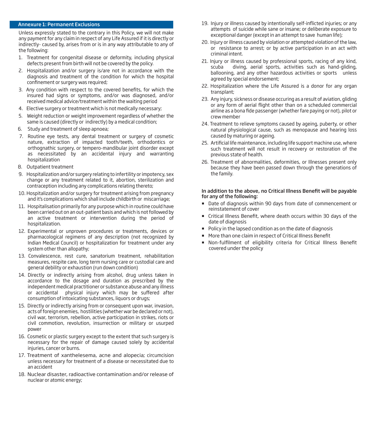#### Annexure 1: Permanent Exclusions

Unless expressly stated to the contrary in this Policy, we will not make any payment for any claim in respect of any Life Assured if it is directly or indirectly- caused by, arises from or is in any way attributable to any of the following:

- 1. Treatment for congenital disease or deformity, including physical defects present from birth will not be covered by the policy.
- 2. Hospitalization and/or surgery is/are not in accordance with the diagnosis and treatment of the condition for which the hospital confinement or surgery was required;
- 3. Any condition with respect to the covered benefits, for which the insured had signs or symptoms, and/or was diagnosed, and/or received medical advice/treatment within the waiting period
- 4. Elective surgery or treatment which is not medically necessary;
- 5. Weight reduction or weight improvement regardless of whether the same is caused (directly or indirectly) by a medical condition;
- 6. Study and treatment of sleep apnoea;
- 7. Routine eye tests, any dental treatment or surgery of cosmetic nature, extraction of impacted tooth/teeth, orthodontics or orthognathic surgery, or tempero-mandibular joint disorder except as necessitated by an accidental injury and warranting hospitalization
- 8. Outpatient treatment
- 9. Hospitalization and/or surgery relating to infertility or impotency, sex change or any treatment related to it, abortion, sterilization and contraception including any complications relating thereto;
- 10. Hospitalization and/or surgery for treatment arising from pregnancy and it's complications which shall include childbirth or miscarriage;
- 11. Hospitalisation primarily for any purpose which in routine could have been carried out on an out-patient basis and which is not followed by an active treatment or intervention during the period of hospitalization.
- 12. Experimental or unproven procedures or treatments, devices or pharmacological regimens of any description (not recognized by Indian Medical Council) or hospitalization for treatment under any system other than allopathy;
- 13. Convalescence, rest cure, sanatorium treatment, rehabilitation measures, respite care, long term nursing care or custodial care and general debility or exhaustion (run down condition)
- 14. Directly or indirectly arising from alcohol, drug unless taken in accordance to the dosage and duration as prescribed by the independent medical practitioner or substance abuse and any illness or accidental physical injury which may be suffered after consumption of intoxicating substances, liquors or drugs;
- 15. Directly or indirectly arising from or consequent upon war, invasion, acts of foreign enemies, hostilities (whether war be declared or not), civil war, terrorism, rebellion, active participation in strikes, riots or civil commotion, revolution, insurrection or military or usurped power
- 16. Cosmetic or plastic surgery except to the extent that such surgery is necessary for the repair of damage caused solely by accidental injuries, cancer or burns.
- 17. Treatment of xanthelesema, acne and alopecia; circumcision unless necessary for treatment of a disease or necessitated due to an accident
- 18. Nuclear disaster, radioactive contamination and/or release of nuclear or atomic energy;
- 19. Injury or illness caused by intentionally self-inflicted injuries; or any attempts of suicide while sane or insane; or deliberate exposure to exceptional danger (except in an attempt to save human life);
- 20. Injury or illness caused by violation or attempted violation of the law, or resistance to arrest; or by active participation in an act with criminal intent.
- 21. Injury or illness caused by professional sports, racing of any kind, scuba diving, aerial sports, activities such as hand-gliding, ballooning, and any other hazardous activities or sports unless agreed by special endorsement;
- 22. Hospitalization where the Life Assured is a donor for any organ transplant;
- 23. Any injury, sickness or disease occuring as a result of aviation, gliding or any form of aerial flight other than on a scheduled commercial airline as a bona fide passenger (whether fare paying or not), pilot or crew member
- 24. Treatment to relieve symptoms caused by ageing, puberty, or other natural physiological cause, such as menopause and hearing loss caused by maturing or ageing.
- 25. Artificial life maintenance, including life support machine use, where such treatment will not result in recovery or restoration of the previous state of health.
- 26. Treatment of abnormalities, deformities, or Illnesses present only because they have been passed down through the generations of the family.

#### In addition to the above, no Critical Illness Benefit will be payable for any of the following:

- Date of diagnosis within 90 days from date of commencement or reinstatement of cover
- **EXEC** Critical Illness Benefit, where death occurs within 30 days of the date of diagnosis
- **Policy in the lapsed condition as on the date of diagnosis**
- **More than one claim in respect of Critical Illness Benefit**
- **Non-fulfilment of eligibility criteria for Critical Illness Benefit** covered under the policy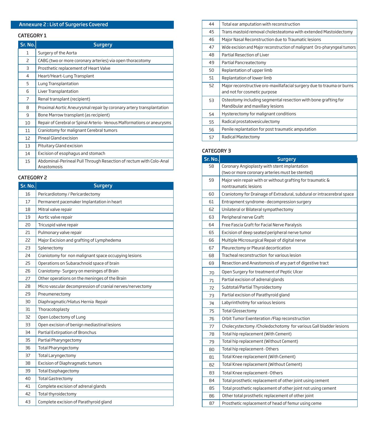# Annexure 2 : List of Surgeries Covered

# CATEGORY 1

| Sr. No. | <b>Surgery</b>                                                                    |
|---------|-----------------------------------------------------------------------------------|
| 1       | Surgery of the Aorta                                                              |
| 2       | CABG (two or more coronary arteries) via open thoracotomy                         |
| 3       | Prosthetic replacement of Heart Valve                                             |
| 4       | Heart/Heart-Lung Transplant                                                       |
| 5       | Lung Transplantation                                                              |
| 6       | Liver Transplantation                                                             |
| 7       | Renal transplant (recipient)                                                      |
| 8       | Proximal Aortic Aneurysmal repair by coronary artery transplantation              |
| 9       | Bone Marrow transplant (as recipient)                                             |
| 10      | Repair of Cerebral or Spinal Arterio- Venous Malformations or aneurysms           |
| 11      | Craniotomy for malignant Cerebral tumors                                          |
| 12      | Pineal Gland excision                                                             |
| 13      | Pituitary Gland excision                                                          |
| 14      | Excision of esophagus and stomach                                                 |
| 15      | Abdominal-Perineal Pull Through Resection of rectum with Colo-Anal<br>Anastomosis |

# CATEGORY 2

| Sr. No. | <b>Surgery</b>                                            |
|---------|-----------------------------------------------------------|
| 16      | Pericardiotomy / Pericardectomy                           |
| 17      | Permanent pacemaker Implantation in heart                 |
| 18      | Mitral valve repair                                       |
| 19      | Aortic valve repair                                       |
| 20      | Tricuspid valve repair                                    |
| 21      | Pulmonary valve repair                                    |
| 22      | Major Excision and grafting of Lymphedema                 |
| 23      | Splenectomy                                               |
| 24      | Craniotomy for non malignant space occupying lesions      |
| 25      | Operations on Subarachnoid space of brain                 |
| 26      | Craniotomy- Surgery on meninges of Brain                  |
| 27      | Other operations on the meninges of the Brain             |
| 28      | Micro vascular decompression of cranial nerves/nervectomy |
| 29      | Pneumenectomy                                             |
| 30      | Diaphragmatic/Hiatus Hernia Repair                        |
| 31      | Thoracotoplasty                                           |
| 32      | Open Lobectomy of Lung                                    |
| 33      | Open excision of benign mediastinal lesions               |
| 34      | Partial Extirpation of Bronchus                           |
| 35      | Partial Pharyngectomy                                     |
| 36      | <b>Total Pharyngectomy</b>                                |
| 37      | <b>Total Laryngectomy</b>                                 |
| 38      | Excision of Diaphragmatic tumors                          |
| 39      | <b>Total Esophagectomy</b>                                |
| 40      | <b>Total Gastrectomy</b>                                  |
| 41      | Complete excision of adrenal glands                       |
| 42      | Total thyroidectomy                                       |
| 43      | Complete excision of Parathyroid gland                    |

| 44 | Total ear amputation with reconstruction                                                              |
|----|-------------------------------------------------------------------------------------------------------|
| 45 | Trans mastoid removal cholesteatoma with extended Mastoidectomy                                       |
| 46 | Major Nasal Reconstruction due to Traumatic lesions                                                   |
| 47 | Wide excision and Major reconstruction of malignant Oro-pharyngeal tumors                             |
| 48 | Partial Resection of Liver                                                                            |
| 49 | Partial Pancreatectomy                                                                                |
| 50 | Replantation of upper limb                                                                            |
| 51 | Replantation of lower limb                                                                            |
| 52 | Major reconstructive oro-maxillafacial surgery due to trauma or burns<br>and not for cosmetic purpose |
| 53 | Osteotomy including segmental resection with bone grafting for<br>Mandibular and maxillary lesions    |
| 54 | Hysterectomy for malignant conditions                                                                 |
| 55 | Radical prostatovesiculectomy                                                                         |
| 56 | Penile replantation for post traumatic amputation                                                     |
| 57 | Radical Mastectomy                                                                                    |

# CATEGORY 3

| Sr. No. | <b>Surgery</b>                                                         |
|---------|------------------------------------------------------------------------|
| 58      | Coronary Angioplasty with stent implantation                           |
|         | (two or more coronary arteries must be stented)                        |
| 59      | Major vein repair with or without grafting for traumatic &             |
|         | nontraumatic lesions                                                   |
| 60      | Craniotomy for Drainage of Extradural, subdural or intracerebral space |
| 61      | Entrapment syndrome- decompression surgery                             |
| 62      | Unilateral or Bilateral sympathectomy                                  |
| 63      | Peripheral nerve Graft                                                 |
| 64      | Free Fascia Graft for Facial Nerve Paralysis                           |
| 65      | Excision of deep seated peripheral nerve tumor                         |
| 66      | Multiple Microsurgical Repair of digital nerve                         |
| 67      | Pleurectomy or Pleural decortication                                   |
| 68      | Tracheal reconstruction for various lesion                             |
| 69      | Resection and Anastomosis of any part of digestive tract               |
| 70      | Open Surgery for treatment of Peptic Ulcer                             |
| 71      | Partial excision of adrenal glands                                     |
| 72      | Subtotal/Partial Thyroidectomy                                         |
| 73      | Partial excision of Parathyroid gland                                  |
| 74      | Labyrinthotmy for various lesions                                      |
| 75      | <b>Total Glossectomy</b>                                               |
| 76      | Orbit Tumor Exenteration / Flap reconstruction                         |
| 77      | Cholecystectomy / Choledochotomy for various Gall bladder lesions      |
| 78      | Total hip replacement (With Cement)                                    |
| 79      | Total hip replacement (Without Cement)                                 |
| 80      | Total hip replacement-Others                                           |
| 81      | Total Knee replacement (With Cement)                                   |
| 82      | Total Knee replacement (Without Cement)                                |
| 83      | Total Knee replacement-Others                                          |
| 84      | Total prosthetic replacement of other joint using cement               |
| 85      | Total prosthetic replacement of other joint not using cement           |
| 86      | Other total prosthetic replacement of other joint                      |
| 87      | Prosthetic replacement of head of femur using ceme                     |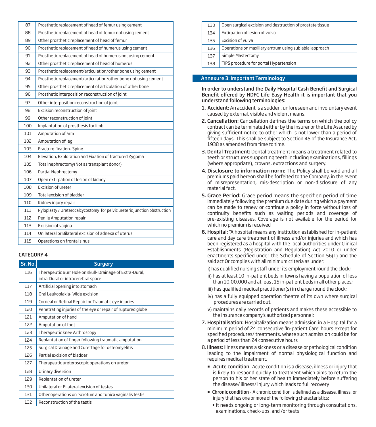| 87  | Prosthetic replacement of head of femur using cement                      |
|-----|---------------------------------------------------------------------------|
| 88  | Prosthetic replacement of head of femur not using cement                  |
| 89  | Other prosthetic replacement of head of femur                             |
| 90  | Prosthetic replacement of head of humerus using cement                    |
| 91  | Prosthetic replacement of head of humerus not using cement                |
| 92  | Other prosthetic replacement of head of humerus                           |
| 93  | Prosthetic replacement/articulation/other bone using cement               |
| 94  | Prosthetic replacement/articulation/other bone not using cement           |
| 95  | Other prosthetic replacement of articulation of other bone                |
| 96  | Prosthetic interposition reconstruction of joint                          |
| 97  | Other interposition reconstruction of joint                               |
| 98  | Excision reconstruction of joint                                          |
| 99  | Other reconstruction of joint                                             |
| 100 | Implantation of prosthesis for limb                                       |
| 101 | Amputation of arm                                                         |
| 102 | Amputation of leg                                                         |
| 103 | Fracture fixation- Spine                                                  |
| 104 | Elevation, Exploration and Fixation of fractured Zygoma                   |
| 105 | Total nephrectomy(Not as transplant donor)                                |
| 106 | Partial Nephrectomy                                                       |
| 107 | Open extirpation of lesion of kidney                                      |
| 108 | Excision of ureter                                                        |
| 109 | Total excision of bladder                                                 |
| 110 | Kidney injury repair                                                      |
| 111 | Pyloplasty / Ureterocalcycostomy for pelvic ureteric junction obstruction |
| 112 | Penile Amputation repair                                                  |
| 113 | Excision of vagina                                                        |
| 114 | Unilateral or Bilateral excision of adnexa of uterus                      |
| 115 | Operations on frontal sinus                                               |
|     |                                                                           |

# CATEGORY 4

| Sr. No. | <b>Surgery</b>                                              |
|---------|-------------------------------------------------------------|
| 116     | Therapeutic Burr Hole on skull- Drainage of Extra-Dural,    |
|         | intra-Dural or intracerebral space                          |
| 117     | Artificial opening into stomach                             |
| 118     | Oral Leukoplakia- Wide excision                             |
| 119     | Corneal or Retinal Repair for Traumatic eye injuries        |
| 120     | Penetrating injuries of the eye or repair of ruptured globe |
| 121     | Amputation of hand                                          |
| 122     | Amputation of foot                                          |
| 123     | Therapeutic knee Arthroscopy                                |
| 124     | Replantation of finger following traumatic amputation       |
| 125     | Surgical Drainage and Curettage for osteomyelitis           |
| 126     | Partial excision of bladder                                 |
| 127     | Therapeutic ureteroscopic operations on ureter              |
| 128     | Urinary diversion                                           |
| 129     | Replantation of ureter                                      |
| 130     | Unilateral or Bilateral excision of testes                  |
| 131     | Other operations on Scrotum and tunica vaginalis testis     |
| 132     | Reconstruction of the testis                                |

| 133 | Open surgical excision and destruction of prostate tissue |
|-----|-----------------------------------------------------------|
| 134 | Extirpation of lesion of vulva                            |
| 135 | Excision of vulva                                         |
| 136 | Operations on maxillary antrum using sublabial approach   |
| 137 | Simple Mastectomy                                         |
| 138 | TIPS procedure for portal Hypertension                    |

#### Annexure 3: Important Terminology

In order to understand the Daily Hospital Cash Benefit and Surgical Benefit offered by HDFC Life Easy Health it is important that you understand following terminologies:

- 1. Accident: An accident is a sudden, unforeseen and involuntary event caused by external, visible and violent means.
- 2. Cancellation: Cancellation defines the terms on which the policy contract can be terminated either by the insurer or the Life Assured by giving sufficient notice to other which is not lower than a period of fifteen days. This shall be subject to Section 45 of the Insurance Act, 1938 as amended from time to time.
- 3. Dental Treatment: Dental treatment means a treatment related to teeth or structures supporting teeth including examinations, fillings (where appropriate), crowns, extractions and surgery.
- 4. Disclosure to information norm: The Policy shall be void and all premiums paid hereon shall be forfeited to the Company, in the event of misrepresentation, mis-description or non-disclosure of any material fact.
- 5. Grace Period: Grace period means the specified period of time immediately following the premium due date during which a payment can be made to renew or continue a policy in force without loss of continuity benefits such as waiting periods and coverage of pre-existing diseases. Coverage is not available for the period for which no premium is received
- 6. Hospital: "A hospital means any institution established for in-patient care and day care treatment of illness and/or injuries and which has been registered as a hospital with the local authorities under Clinical Establishments (Registration and Regulation) Act 2010 or under enactments specified under the Schedule of Section 56(1) and the said act Or complies with all minimum criteria as under:
	- i) has qualified nursing staff under its employment round the clock;
	- ii) has at least 10 in-patient beds in towns having a population of less than 10,00,000 and at least 15 in-patient beds in all other places;
	- iii) has qualified medical practitioner(s) in charge round the clock;
	- iv) has a fully equipped operation theatre of its own where surgical procedures are carried out;
	- v) maintains daily records of patients and makes these accessible to the insurance company's authorized personnel;
- 7. Hospitalisation: Hospitalization means admission in a Hospital for a minimum period of 24 consecutive 'In-patient Care' hours except for specified procedures/ treatments, where such admission could be for a period of less than 24 consecutive hours
- 8. Illness: Illness means a sickness or a disease or pathological condition leading to the impairment of normal physiological function and requires medical treatment.
	- **Acute condition** Acute condition is a disease, illness or injury that is likely to respond quickly to treatment which aims to return the person to his or her state of health immediately before suffering the disease/ illness/ injury which leads to full recovery
	- **Example:** Chronic condition A chronic condition is defined as a disease, illness, or injury that has one or more of the following characteristics:
		- it needs ongoing or long-term monitoring through consultations, examinations, check-ups, and /or tests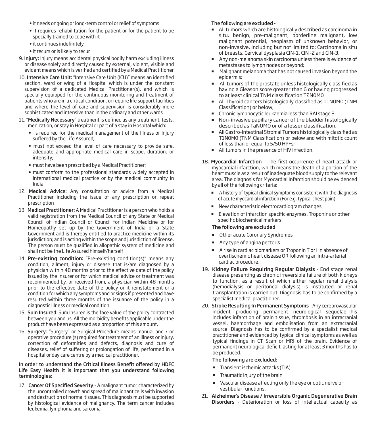- it needs ongoing or long-term control or relief of symptoms
- it requires rehabilitation for the patient or for the patient to be specially trained to cope with it
- it continues indefinitely
- it recurs or is likely to recur
- 9. Injury: Injury means accidental physical bodily harm excluding illness or disease solely and directly caused by external, violent, visible and evident means which is verified and certified by a Medical Practitioner.
- 10. Intensive Care Unit: "Intensive Care Unit (ICU)" means an identified section, ward or wing of a Hospital which is under the constant supervision of a dedicated Medical Practitioner(s), and which is specially equipped for the continuous monitoring and treatment of patients who are in a critical condition, or require life support facilities and where the level of care and supervision is considerably more sophisticated and intensive than in the ordinary and other wards
- 11. "Medically Necessary" treatment is defined as any treatment, tests, medication, or stay in Hospital or part of a stay in Hospital which:
	- is required for the medical management of the Illness or Injury suffered by the Life Assured;
	- must not exceed the level of care necessary to provide safe, adequate and appropriate medical care in scope, duration, or intensity;
	- must have been prescribed by a Medical Practitioner;
	- must conform to the professional standards widely accepted in international medical practice or by the medical community in India.
- 12. Medical Advice: Any consultation or advice from a Medical Practitioner including the issue of any prescription or repeat prescription
- 13. Medical Practitioner: A Medical Practitioner is a person who holds a valid registration from the Medical Council of any State or Medical Council of Indian Council or Council for Indian Medicine or for Homeopathy set up by the Government of India or a State Government and is thereby entitled to practice medicine within its jurisdiction; and is acting within the scope and jurisdiction of license. The person must be qualified in allopathic system of medicine and shall not be the Life Assured himself/herself
- 14. Pre-existing condition: "Pre-existing condition(s)" means any condition, ailment, injury or disease that is/are diagnosed by a physician within 48 months prior to the effective date of the policy issued by the insurer or for which medical advice or treatment was recommended by, or received from, a physician within 48 months prior to the effective date of the policy or it reinstatement or a condition for which any symptoms and or signs if presented and have resulted within three months of the issuance of the policy in a diagnostic illness or medical condition.
- 15. Sum Insured: Sum Insured is the face value of the policy contracted between you and us. All the morbidity benefits applicable under the product have been expressed as a proportion of this amount.
- 16. Surgery: "Surgery" or Surgical Procedure means manual and / or operative procedure (s) required for treatment of an illness or injury, correction of deformities and defects, diagnosis and cure of diseases, relief of suffering or prolongation of life, performed in a hospital or day care centre by a medical practitioner.

# In order to understand the Critical Illness Benefit offered by HDFC Life Easy Health it is important that you understand following terminologies:

17. Cancer Of Specified Severity - A malignant tumor characterized by the uncontrolled growth and spread of malignant cells with invasion and destruction of normal tissues. This diagnosis must be supported by histological evidence of malignancy. The term cancer includes leukemia, lymphoma and sarcoma.

# The following are excluded -

- All tumors which are histologically described as carcinoma in situ, benign, pre-malignant, borderline malignant, low malignant potential, neoplasm of unknown behavior, or non-invasive, including but not limited to: Carcinoma in situ of breasts, Cervical dysplasia CIN-1, CIN -2 and CIN-3.
- Any non-melanoma skin carcinoma unless there is evidence of metastases to lymph nodes or beyond;
- Malignant melanoma that has not caused invasion beyond the epidermis;
- All tumors of the prostate unless histologically classified as having a Gleason score greater than 6 or having progressed to at least clinical TNM classification T2N0M0
- All Thyroid cancers histologically classied as T1N0M0 (TNM Classification) or below;
- Chronic lymphocytic leukaemia less than RAI stage 3
- Non-invasive papillary cancer of the bladder histologically described as  $\overline{T}$ aNOMO or of a lesser classification,
- All Gastro-Intestinal Stromal Tumors histologically classified as T1N0M0 (TNM Classification) or below and with mitotic count of less than or equal to 5/50 HPFs;
- All tumors in the presence of HIV infection.
- 18. Myocardial Infarction The first occurrence of heart attack or myocardial infarction, which means the death of a portion of the heart muscle as a result of inadequate blood supply to the relevant area. The diagnosis for Myocardial Infarction should be evidenced by all of the following criteria:
	- A history of typical clinical symptoms consistent with the diagnosis of acute myocardial infarction (For e.g. typical chest pain)
	- New characteristic electrocardiogram changes
	- Elevation of infarction specific enzymes, Troponins or other specific biochemical markers.

# The following are excluded:

- **Dimeracute Coronary Syndromes**
- **Any type of angina pectoris**
- A rise in cardiac biomarkers or Troponin T or I in absence of overtischemic heart disease OR following an intra-arterial cardiac procedure.
- 19. Kidney Failure Requiring Regular Dialysis End stage renal disease presenting as chronic irreversible failure of both kidneys to function, as a result of which either regular renal dialysis (hemodialysis or peritoneal dialysis) is instituted or renal transplantation is carried out. Diagnosis has to be confirmed by a specialist medical practitioner.
- 20. Stroke Resulting In Permanent Symptoms Any cerebrovascular incident producing permanent neurological sequelae.This includes infarction of brain tissue, thrombosis in an intracranial vessel, haemorrhage and embolisation from an extracranial source. Diagnosis has to be confirmed by a specialist medical practitioner and evidenced by typical clinical symptoms as well as typical findings in CT Scan or MRI of the brain. Evidence of permanent neurological deficit lasting for at least 3 months has to be produced.

# The following are excluded:

- **Transient ischemic attacks (TIA)**
- **Traumatic injury of the brain**
- vascular disease affecting only the eye or optic nerve or vestibular functions.
- 21. Alzheimer's Disease / Irreversible Organic Degenerative Brain Disorders - Deterioration or loss of intellectual capacity as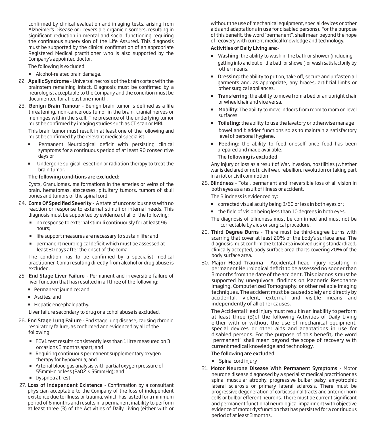confirmed by clinical evaluation and imaging tests, arising from Alzheimer's Disease or irreversible organic disorders, resulting in significant reduction in mental and social functioning requiring the continuous supervision of the Life Assured. This diagnosis must be supported by the clinical confirmation of an appropriate Registered Medical practitioner who is also supported by the Company's appointed doctor.

The following is excluded:

- **Alcohol-related brain damage.**
- 22. Apallic Syndrome Universal necrosis of the brain cortex with the brainstem remaining intact. Diagnosis must be confirmed by a neurologist acceptable to the Company and the condition must be documented for at least one month.
- 23. Benign Brain Tumour Benign brain tumor is defined as a life threatening, non-cancerous tumor in the brain, cranial nerves or meninges within the skull. The presence of the underlying tumor must be confirmed by imaging studies such as CT scan or MRI.

 This brain tumor must result in at least one of the following and must be confirmed by the relevant medical specialist.

- **Permanent Neurological deficit with persisting clinical** symptoms for a continuous period of at least 90 consecutive days or
- **Undergone surgical resection or radiation therapy to treat the** brain tumor.

# The following conditions are excluded:

Cysts, Granulomas, malformations in the arteries or veins of the brain, hematomas, abscesses, pituitary tumors, tumors of skull bones and tumors of the spinal cord.

- 24. Coma Of Specified Severity A state of unconsciousness with no reaction or response to external stimuli or internal needs. This diagnosis must be supported by evidence of all of the following:
	- no response to external stimuli continuously for at least 96 hours;
	- **If it is support measures are necessary to sustain life; and**
	- permanent neurological deficit which must be assessed at least 30 days after the onset of the coma.

The condition has to be confirmed by a specialist medical practitioner. Coma resulting directly from alcohol or drug abuse is excluded.

- 25. End Stage Liver Failure Permanent and irreversible failure of liver function that has resulted in all three of the following:
	- **Permanent jaundice; and**
	- **Ascites**; and
	- Hepatic encephalopathy.

Liver failure secondary to drug or alcohol abuse is excluded.

- 26. End Stage Lung Failure End stage lung disease, causing chronic respiratory failure, as confirmed and evidenced by all of the following:
	- FEV1 test results consistently less than 1 litre measured on 3 occasions 3 months apart; and
	- **Requiring continuous permanent supplementary oxygen** therapy for hypoxemia; and
	- Arterial blood gas analysis with partial oxygen pressure of 55mmHg or less (PaO2 < 55mmHg); and
	- Dyspnea at rest.
- 27. Loss of Independent Existence Confirmation by a consultant physician acceptable to the Company of the loss of independent existence due to illness or trauma, which has lasted for a minimum period of 6 months and results in a permanent inability to perform at least three (3) of the Activities of Daily Living (either with or

without the use of mechanical equipment, special devices or other aids and adaptations in use for disabled persons). For the purpose of this benefit, the word "permanent", shall mean beyond the hope of recovery with current medical knowledge and technology.

# Activities of Daily Living are:-

- **Washing:** the ability to wash in the bath or shower (including getting into and out of the bath or shower) or wash satisfactorily by other means.
- **Dressing:** the ability to put on, take off, secure and unfasten all garments and, as appropriate, any braces, artificial limbs or other surgical appliances.
- **Transferring:** the ability to move from a bed or an upright chair or wheelchair and vice versa.
- Mobility: The ability to move indoors from room to room on level surfaces.
- **Toileting**: the ability to use the lavatory or otherwise manage bowel and bladder functions so as to maintain a satisfactory level of personal hygiene.
- Feeding: the ability to feed oneself once food has been prepared and made available.

# The following is excluded:

 Any injury or loss as a result of War, invasion, hostilities (whether war is declared or not), civil war, rebellion, revolution or taking part in a riot or civil commotion

28. Blindness - Total, permanent and irreversible loss of all vision in both eyes as a result of illness or accident.

The Blindness is evidenced by:

- corrected visual acuity being 3/60 or less in both eyes or ;
- $\blacksquare$  the field of vision being less than 10 degrees in both eyes.
- The diagnosis of blindness must be confirmed and must not be correctable by aids or surgical procedure.
- 29. Third Degree Burns There must be third-degree burns with scarring that cover at least 20% of the body's surface area. The diagnosis must confirm the total area involved using standardized, clinically accepted, body surface area charts covering 20% of the body surface area.
- 30. Major Head Trauma Accidental head injury resulting in permanent Neurological deficit to be assessed no sooner than 3 months from the date of the accident. This diagnosis must be supported by unequivocal findings on Magnetic Resonance Imaging, Computerized Tomography, or other reliable imaging techniques. The accident must be caused solely and directly by accidental, violent, external and visible means and independently of all other causes.

 The Accidental Head injury must result in an inability to perform at least three (3)of the following Activities of Daily Living either with or without the use of mechanical equipment, special devices or other aids and adaptations in use for disabled persons. For the purpose of this benefit, the word "permanent" shall mean beyond the scope of recovery with current medical knowledge and technology.

# The following are excluded:

- **Spinal cord injury**
- 31. Motor Neurone Disease With Permanent Symptoms Motor neurone disease diagnosed by a specialist medical practitioner as spinal muscular atrophy, progressive bulbar palsy, amyotrophic lateral sclerosis or primary lateral sclerosis. There must be progressive degeneration of corticospinal tracts and anterior horn cells or bulbar efferent neurons. There must be current significant and permanent functional neurological impairment with objective evidence of motor dysfunction that has persisted for a continuous period of at least 3 months.